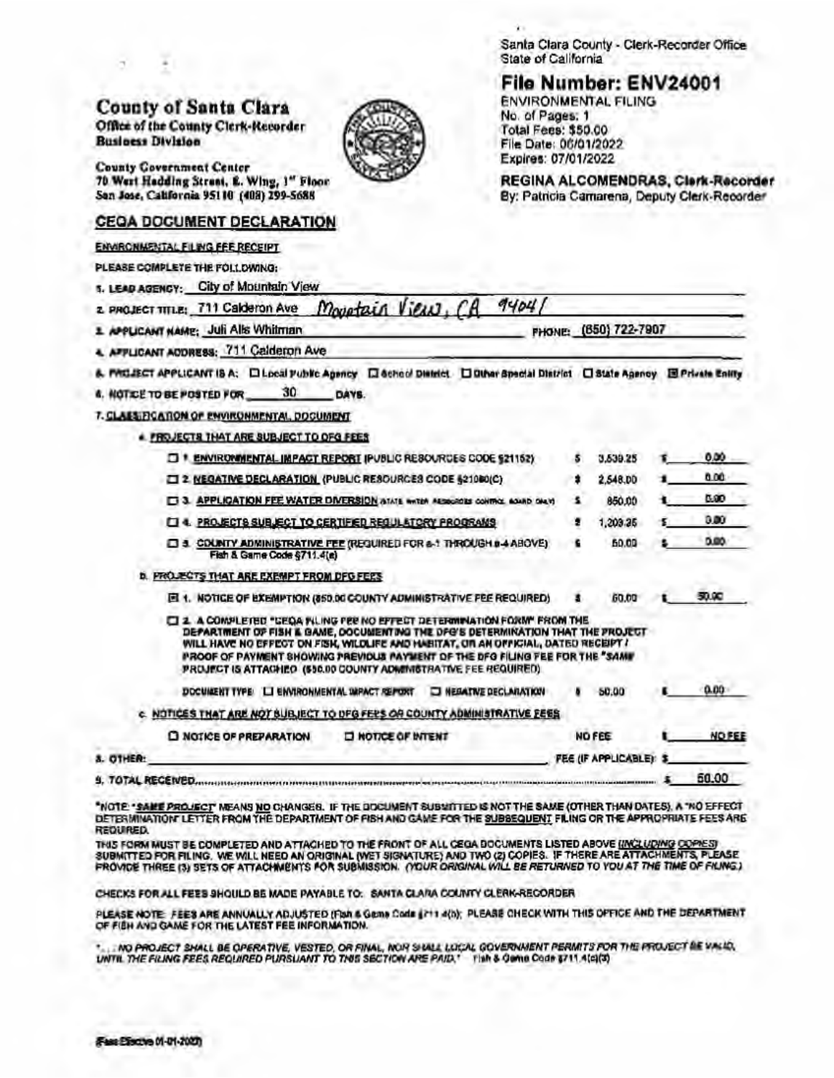Santa Clara County - Clerk-Recorder Office State of California

## File Number: ENV24001 **ENVIRONMENTAL FILING**

No. of Pages: 1

**Total Fees: \$50.00** 

#### **County of Santa Clara** Office of the County Clerk-Recorder **Business Division**



**County Government Center** 70 West Hadding Stress, E. Wing, 1" Floor. San Jose, California 95110 (408) 299-5688

### **CEGA DOCUMENT DECLARATION**

#### **ENVIRONMENTAL FILING FEE RECEIPT**

PLEASE COMPLETE THE FOLLOWING:

5. LEAD AGENCY: City of Mountain View

 $9404$ Monotain View. z. PROJECT TITLE: 711 Calderon Ave

1 APPLICANT NAME: Juli Alls Whitman

A. AFFLICANT ADDRESS: 711 Calderon Ave.

& PAGJECT APPLICANT IS A: D Local Public Agency D School District. D Other Special District D State Agency B Private Enlity

30 DAYS. 4. NOTICE TO BE POSTED FOR.

7. CLASSIFICATION OF ENVIRONMENTAL, DOCUMENT

**# FROJECTS THAT ARE SUBJECT TO OFG FEES** 

|                  | T * ENVIRONMENTAL IMPACT REPORT IPUBLIC RESCURDES CODE \$21152)                                                                                                                                                                                                                                                                                                                                            |   | 3,539.25                |  | 0.00          |
|------------------|------------------------------------------------------------------------------------------------------------------------------------------------------------------------------------------------------------------------------------------------------------------------------------------------------------------------------------------------------------------------------------------------------------|---|-------------------------|--|---------------|
|                  | 2 NEGATIVE DECLARATION (PUBLIC RESOURCES CODE §21080(C).                                                                                                                                                                                                                                                                                                                                                   |   | 2.548.DD                |  | 0.00          |
|                  | 13. APPLICATION FEE WATER DIVERSION (MATALE WATER ALSOCIES CONTROL BOARD ONLY)                                                                                                                                                                                                                                                                                                                             |   | 850.00                  |  | 6.60          |
|                  | LI4. PROJECTS SUBJECT TO CERTIFIED REQUILATORY PROGRAMS                                                                                                                                                                                                                                                                                                                                                    |   | 1,203.25                |  | 0.00          |
|                  | <b>ET &amp; COUNTY ADMINISTRATIVE FEE (REGUIRED FOR a-1 THROUGH 0-4 ABOVE)</b><br>Fish & Game Code \$711.4(a)                                                                                                                                                                                                                                                                                              | £ | 50.00                   |  | D.BO.         |
|                  | <b>D. PROJECTS THAT ARE EXEMPT FROM DFG FERS</b>                                                                                                                                                                                                                                                                                                                                                           |   |                         |  |               |
|                  | <b>ET 1. NOTICE OF EXEMPTION (850.00 COUNTY ADMINISTRATIVE FEE REQUIRED)</b>                                                                                                                                                                                                                                                                                                                               |   | 60.00                   |  | 50.VC         |
|                  | [3] 2. A COMPLETED "CEOA FILING FEE NO EFFECT DETERMINATION FORM" FROM THE<br>DEPARTMENT OF FISH & GAME, DOCUMENTING THE DFG'S DETERMINATION THAT THE PROJECT<br>WILL HAVE NO EFFECT ON FISH, WILDLIFE AND HABITAT, OR AN OFFICIAL, DATED RECEIPT !<br>IPROOF OF PAYMENT SHOWING PREVIOUS PAYMENT OF THE DFO FILING FEE FOR THE "SAME"<br>PROJECT IS ATTACHED (\$50.00 COUNTY ADMINISTRATIVE FEE REQUIRED) |   |                         |  |               |
|                  | LI ENVIRONMENTAL IMPACT REPORT.<br><b>ED NEBATIVE DECLARATION</b><br><b>DOCUMENT TYPE:</b>                                                                                                                                                                                                                                                                                                                 |   | 50.00                   |  | 0.00          |
|                  | C. NOTICES THAT ARE NOT SUBJECT TO DFG FEES OR COUNTY ADMINISTRATIVE EEES.                                                                                                                                                                                                                                                                                                                                 |   |                         |  |               |
|                  | C NOTICE OF PREPARATION<br><b>IT NOTICE OF INTENT</b>                                                                                                                                                                                                                                                                                                                                                      |   | <b>NO FEE</b>           |  | <b>NO FEE</b> |
| <b>8. OTHER:</b> |                                                                                                                                                                                                                                                                                                                                                                                                            |   | FEE (IF APPLICABLE): \$ |  |               |
|                  |                                                                                                                                                                                                                                                                                                                                                                                                            |   |                         |  |               |

50.00 

"NOTE "SARE PROJECT" MEANS NO CHANGES. IF THE DOCUMENT SUBVITTED IS NOT THE SAME (OTHER THAN DATES), A "NO EFFECT DETERMINATION' LETTER FROM THE DEPARTMENT OF FISH AND GAME FOR THE SUBSEQUENT FILING OR THE APPROPRIATE FEES ARE REQUIRED.

THIS FORM MUST BE COMPLETED AND ATTACHED TO THE FRONT OF ALL CEGA BOCUMENTS LISTED ABOVE <u>(INCLUDING OOPIES)</u><br>SUBMITTED FOR FILING, WE WILL NEED AN ORIGINAL (WET SIGNATURE) AND TWO (2) COPIES. IF THERE ARE ATTACHMENTS, PLE

CHECKS FOR ALL FEES SHOULD BE MADE PAYABLE TO: SANTA CLARA COUNTY CLERK-RECORDER

PLEASE NOTE: FEES ARE ANNUALLY ADJUSTED (Fish & Gema Code (711 4(b); PLEASE CHECK WITH THIS OFFICE AND THE DEPARTMENT OF FIEH AND GAME FOR THE LATEST FEE INFORMATION.

INO PROJECT SHALL BE OPERATIVE, VESTED, OR FINAL, NOR SHALL LOCAL GOVERNMENT PERMITS FOR THE PROJECT BE VALID, UNTIL THE FILING FEES REQUIRED PURSUANT TO THIS SECTION ARE PAID." THIN & GOING CODE 3711 A(C)(3)

File Date: 06/01/2022 Expires: 07/01/2022 REGINA ALCOMENDRAS, Clerk-Recorder

FHONE: (850) 722-7907

By: Patricia Camarena, Deputy Clerk-Recorder